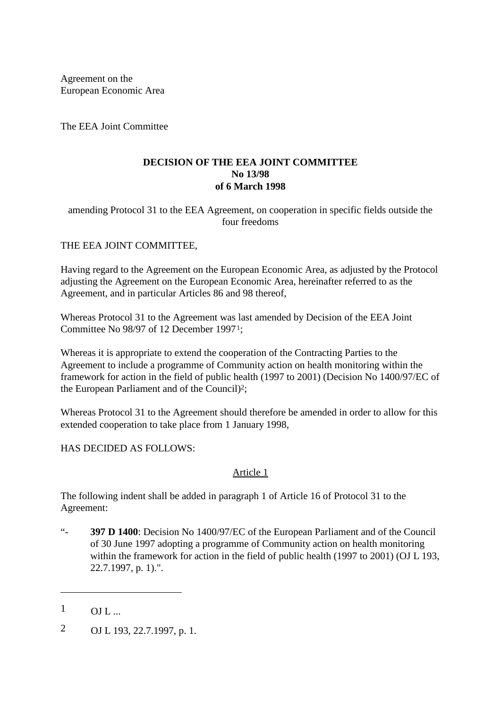Agreement on the European Economic Area

The EEA Joint Committee

### **DECISION OF THE EEA JOINT COMMITTEE No 13/98 of 6 March 1998**

amending Protocol 31 to the EEA Agreement, on cooperation in specific fields outside the four freedoms

# THE EEA JOINT COMMITTEE,

Having regard to the Agreement on the European Economic Area, as adjusted by the Protocol adjusting the Agreement on the European Economic Area, hereinafter referred to as the Agreement, and in particular Articles 86 and 98 thereof,

Whereas Protocol 31 to the Agreement was last amended by Decision of the EEA Joint Committee No 98/97 of 12 December 19971;

Whereas it is appropriate to extend the cooperation of the Contracting Parties to the Agreement to include a programme of Community action on health monitoring within the framework for action in the field of public health (1997 to 2001) (Decision No 1400/97/EC of the European Parliament and of the Council)2;

Whereas Protocol 31 to the Agreement should therefore be amended in order to allow for this extended cooperation to take place from 1 January 1998,

HAS DECIDED AS FOLLOWS:

# Article 1

The following indent shall be added in paragraph 1 of Article 16 of Protocol 31 to the Agreement:

"- **397 D 1400**: Decision No 1400/97/EC of the European Parliament and of the Council of 30 June 1997 adopting a programme of Community action on health monitoring within the framework for action in the field of public health (1997 to 2001) (OJ L 193, 22.7.1997, p. 1).".

—

2 OJ L 193, 22.7.1997, p. 1.

 $1 \qquad \text{OIL}$